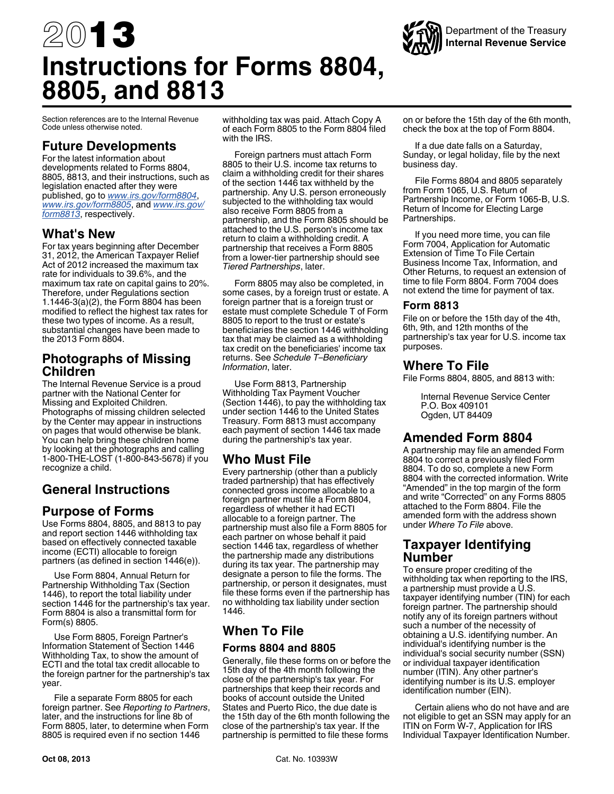<span id="page-0-0"></span>

Section references are to the Internal Revenue Code unless otherwise noted.

### **Future Developments**

For the latest information about developments related to Forms 8804, 8805, 8813, and their instructions, such as legislation enacted after they were published, go to *[www.irs.gov/form8804](http://www.irs.gov/uac/Form-8804,-Annual-Return-for-Partnership-Withholding-Tax-(Section-1446))*, *[www.irs.gov/form8805](http://www.irs.gov/form8805)*, and *[www.irs.gov/](http://www.irs.gov/form8813) [form8813](http://www.irs.gov/form8813)*, respectively.

### **What's New**

For tax years beginning after December 31, 2012, the American Taxpayer Relief Act of 2012 increased the maximum tax rate for individuals to 39.6%, and the maximum tax rate on capital gains to 20%. Therefore, under Regulations section 1.1446-3(a)(2), the Form 8804 has been modified to reflect the highest tax rates for these two types of income. As a result, substantial changes have been made to the 2013 Form 8804.

### **Photographs of Missing Children**

The Internal Revenue Service is a proud partner with the National Center for Missing and Exploited Children. Photographs of missing children selected by the Center may appear in instructions on pages that would otherwise be blank. You can help bring these children home by looking at the photographs and calling 1-800-THE-LOST (1-800-843-5678) if you recognize a child.

# **General Instructions**

# **Purpose of Forms**

Use Forms 8804, 8805, and 8813 to pay and report section 1446 withholding tax based on effectively connected taxable income (ECTI) allocable to foreign partners (as defined in section 1446(e)).

Use Form 8804, Annual Return for Partnership Withholding Tax (Section 1446), to report the total liability under section 1446 for the partnership's tax year. Form 8804 is also a transmittal form for Form(s) 8805.

Use Form 8805, Foreign Partner's Information Statement of Section 1446 Withholding Tax, to show the amount of ECTI and the total tax credit allocable to the foreign partner for the partnership's tax year.

File a separate Form 8805 for each foreign partner. See *Reporting to Partners*, later, and the instructions for line 8b of Form 8805, later, to determine when Form 8805 is required even if no section 1446

withholding tax was paid. Attach Copy A of each Form 8805 to the Form 8804 filed with the IRS.

Foreign partners must attach Form 8805 to their U.S. income tax returns to claim a withholding credit for their shares of the section 1446 tax withheld by the partnership. Any U.S. person erroneously subjected to the withholding tax would also receive Form 8805 from a partnership, and the Form 8805 should be attached to the U.S. person's income tax return to claim a withholding credit. A partnership that receives a Form 8805 from a lower-tier partnership should see *Tiered Partnerships*, later.

Form 8805 may also be completed, in some cases, by a foreign trust or estate. A foreign partner that is a foreign trust or estate must complete Schedule T of Form 8805 to report to the trust or estate's beneficiaries the section 1446 withholding tax that may be claimed as a withholding tax credit on the beneficiaries' income tax returns. See *Schedule T–Beneficiary Information*, later.

Use Form 8813, Partnership Withholding Tax Payment Voucher (Section  $1446$ ), to pay the withholding tax under section 1446 to the United States Treasury. Form 8813 must accompany each payment of section 1446 tax made during the partnership's tax year.

# **Who Must File**

Every partnership (other than a publicly traded partnership) that has effectively connected gross income allocable to a foreign partner must file a Form 8804, regardless of whether it had ECTI allocable to a foreign partner. The partnership must also file a Form 8805 for each partner on whose behalf it paid section 1446 tax, regardless of whether the partnership made any distributions during its tax year. The partnership may designate a person to file the forms. The partnership, or person it designates, must file these forms even if the partnership has no withholding tax liability under section 1446.

# **When To File Forms 8804 and 8805**

Generally, file these forms on or before the 15th day of the 4th month following the close of the partnership's tax year. For partnerships that keep their records and books of account outside the United States and Puerto Rico, the due date is the 15th day of the 6th month following the close of the partnership's tax year. If the partnership is permitted to file these forms

on or before the 15th day of the 6th month, check the box at the top of Form 8804.

If a due date falls on a Saturday, Sunday, or legal holiday, file by the next business day.

File Forms 8804 and 8805 separately from Form 1065, U.S. Return of Partnership Income, or Form 1065-B, U.S. Return of Income for Electing Large Partnerships.

If you need more time, you can file Form 7004, Application for Automatic Extension of Time To File Certain Business Income Tax, Information, and Other Returns, to request an extension of time to file Form 8804. Form 7004 does not extend the time for payment of tax.

#### **Form 8813**

File on or before the 15th day of the 4th, 6th, 9th, and 12th months of the partnership's tax year for U.S. income tax purposes.

### **Where To File**

File Forms 8804, 8805, and 8813 with:

Internal Revenue Service Center P.O. Box 409101 Ogden, UT 84409

# **Amended Form 8804**

A partnership may file an amended Form 8804 to correct a previously filed Form 8804. To do so, complete a new Form 8804 with the corrected information. Write "Amended" in the top margin of the form and write "Corrected" on any Forms 8805 attached to the Form 8804. File the amended form with the address shown under *Where To File* above.

### **Taxpayer Identifying Number**

To ensure proper crediting of the withholding tax when reporting to the IRS, a partnership must provide a U.S. taxpayer identifying number (TIN) for each foreign partner. The partnership should notify any of its foreign partners without such a number of the necessity of obtaining a U.S. identifying number. An individual's identifying number is the individual's social security number (SSN) or individual taxpayer identification number (ITIN). Any other partner's identifying number is its U.S. employer identification number (EIN).

Certain aliens who do not have and are not eligible to get an SSN may apply for an ITIN on Form W-7, Application for IRS Individual Taxpayer Identification Number.

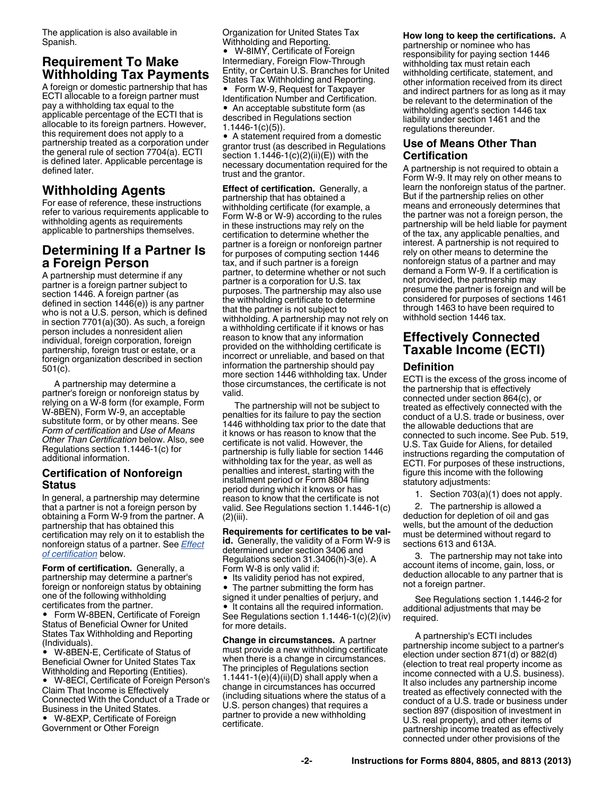The application is also available in Spanish.

# **Requirement To Make Withholding Tax Payments**

A foreign or domestic partnership that has ECTI allocable to a foreign partner must pay a withholding tax equal to the applicable percentage of the ECTI that is allocable to its foreign partners. However, this requirement does not apply to a partnership treated as a corporation under the general rule of section 7704(a). ECTI is defined later. Applicable percentage is defined later.

# **Withholding Agents**

For ease of reference, these instructions refer to various requirements applicable to withholding agents as requirements applicable to partnerships themselves.

# **Determining If a Partner Is a Foreign Person**

A partnership must determine if any partner is a foreign partner subject to section 1446. A foreign partner (as defined in section 1446(e)) is any partner who is not a U.S. person, which is defined in section 7701(a)(30). As such, a foreign person includes a nonresident alien individual, foreign corporation, foreign partnership, foreign trust or estate, or a foreign organization described in section 501(c).

A partnership may determine a partner's foreign or nonforeign status by relying on a W-8 form (for example, Form W-8BEN), Form W-9, an acceptable substitute form, or by other means. See *Form of certification* and *Use of Means Other Than Certification* below. Also, see Regulations section 1.1446-1(c) for additional information.

#### **Certification of Nonforeign Status**

In general, a partnership may determine that a partner is not a foreign person by obtaining a Form W-9 from the partner. A partnership that has obtained this certification may rely on it to establish the nonforeign status of a partner. See *Effect of certification* below.

**Form of certification.** Generally, a partnership may determine a partner's foreign or nonforeign status by obtaining one of the following withholding certificates from the partner.

● Form W-8BEN, Certificate of Foreign Status of Beneficial Owner for United States Tax Withholding and Reporting (Individuals).

 W-8BEN-E, Certificate of Status of Beneficial Owner for United States Tax Withholding and Reporting (Entities).

 W-8ECI, Certificate of Foreign Person's Claim That Income is Effectively Connected With the Conduct of a Trade or Business in the United States.

 W-8EXP, Certificate of Foreign Government or Other Foreign

Organization for United States Tax Withholding and Reporting. W-8IMY, Certificate of Foreign Intermediary, Foreign Flow-Through Entity, or Certain U.S. Branches for United States Tax Withholding and Reporting. Form W-9, Request for Taxpayer Identification Number and Certification.

• An acceptable substitute form (as described in Regulations section 1.1446-1(c)(5)).

A statement required from a domestic grantor trust (as described in Regulations section 1.1446-1(c)(2)(ii)(E)) with the necessary documentation required for the trust and the grantor.

**Effect of certification.** Generally, a partnership that has obtained a withholding certificate (for example, a Form W-8 or W-9) according to the rules in these instructions may rely on the certification to determine whether the partner is a foreign or nonforeign partner for purposes of computing section 1446 tax, and if such partner is a foreign partner, to determine whether or not such partner is a corporation for U.S. tax purposes. The partnership may also use the withholding certificate to determine that the partner is not subject to withholding. A partnership may not rely on a withholding certificate if it knows or has reason to know that any information provided on the withholding certificate is incorrect or unreliable, and based on that information the partnership should pay more section 1446 withholding tax. Under those circumstances, the certificate is not valid.

The partnership will not be subject to penalties for its failure to pay the section 1446 withholding tax prior to the date that it knows or has reason to know that the certificate is not valid. However, the partnership is fully liable for section 1446 withholding tax for the year, as well as penalties and interest, starting with the installment period or Form 8804 filing period during which it knows or has reason to know that the certificate is not valid. See Regulations section 1.1446-1(c) (2)(iii).

**Requirements for certificates to be valid.** Generally, the validity of a Form W-9 is determined under section 3406 and Regulations section 31.3406(h)-3(e). A Form W-8 is only valid if:

- Its validity period has not expired,
- The partner submitting the form has
- signed it under penalties of perjury, and

 $\bullet$  It contains all the required information. See Regulations section 1.1446-1(c)(2)(iv) for more details.

**Change in circumstances.** A partner must provide a new withholding certificate when there is a change in circumstances. The principles of Regulations section 1.1441-1(e) $(4)$ (ii) $(D)$  shall apply when a change in circumstances has occurred (including situations where the status of a U.S. person changes) that requires a partner to provide a new withholding certificate.

#### **How long to keep the certifications.** A

partnership or nominee who has responsibility for paying section 1446 withholding tax must retain each withholding certificate, statement, and other information received from its direct and indirect partners for as long as it may be relevant to the determination of the withholding agent's section 1446 tax liability under section 1461 and the regulations thereunder.

### **Use of Means Other Than Certification**

A partnership is not required to obtain a Form W-9. It may rely on other means to learn the nonforeign status of the partner. But if the partnership relies on other means and erroneously determines that the partner was not a foreign person, the partnership will be held liable for payment of the tax, any applicable penalties, and interest. A partnership is not required to rely on other means to determine the nonforeign status of a partner and may demand a Form W-9. If a certification is not provided, the partnership may presume the partner is foreign and will be considered for purposes of sections 1461 through 1463 to have been required to withhold section 1446 tax.

# **Effectively Connected Taxable Income (ECTI)**

#### **Definition**

ECTI is the excess of the gross income of the partnership that is effectively connected under section 864(c), or treated as effectively connected with the conduct of a U.S. trade or business, over the allowable deductions that are connected to such income. See Pub. 519, U.S. Tax Guide for Aliens, for detailed instructions regarding the computation of ECTI. For purposes of these instructions, figure this income with the following statutory adjustments:

1. Section 703(a)(1) does not apply.

2. The partnership is allowed a deduction for depletion of oil and gas wells, but the amount of the deduction must be determined without regard to sections 613 and 613A.

3. The partnership may not take into account items of income, gain, loss, or deduction allocable to any partner that is not a foreign partner.

See Regulations section 1.1446-2 for additional adjustments that may be required.

A partnership's ECTI includes partnership income subject to a partner's election under section 871(d) or 882(d) (election to treat real property income as income connected with a U.S. business). It also includes any partnership income treated as effectively connected with the conduct of a U.S. trade or business under section 897 (disposition of investment in U.S. real property), and other items of partnership income treated as effectively connected under other provisions of the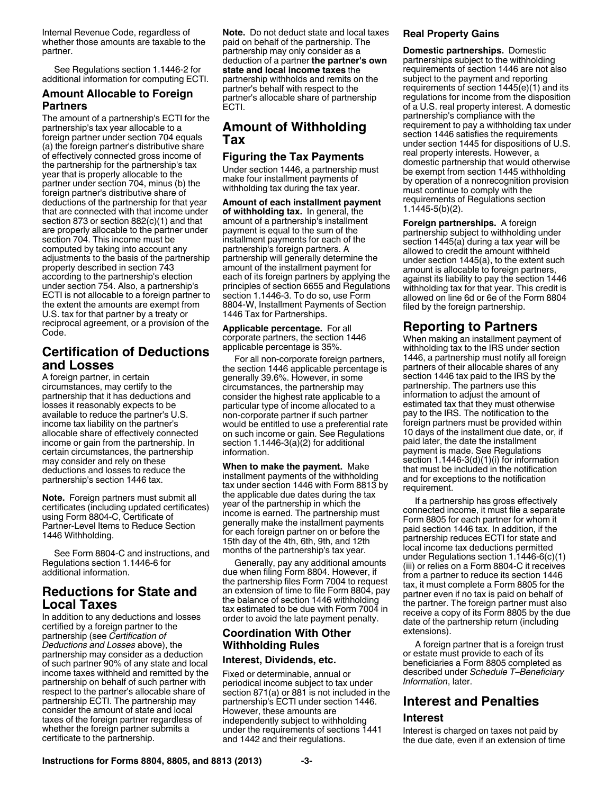<span id="page-2-0"></span>Internal Revenue Code, regardless of whether those amounts are taxable to the partner.

See Regulations section 1.1446-2 for additional information for computing ECTI.

#### **Amount Allocable to Foreign Partners**

The amount of a partnership's ECTI for the partnership's tax year allocable to a foreign partner under section 704 equals (a) the foreign partner's distributive share of effectively connected gross income of the partnership for the partnership's tax year that is properly allocable to the partner under section 704, minus (b) the foreign partner's distributive share of deductions of the partnership for that year that are connected with that income under section 873 or section 882(c)(1) and that are properly allocable to the partner under section 704. This income must be computed by taking into account any adjustments to the basis of the partnership property described in section 743 according to the partnership's election under section 754. Also, a partnership's ECTI is not allocable to a foreign partner to the extent the amounts are exempt from U.S. tax for that partner by a treaty or reciprocal agreement, or a provision of the Code.

# **Certification of Deductions and Losses**

A foreign partner, in certain circumstances, may certify to the partnership that it has deductions and losses it reasonably expects to be available to reduce the partner's U.S. income tax liability on the partner's allocable share of effectively connected income or gain from the partnership. In certain circumstances, the partnership may consider and rely on these deductions and losses to reduce the partnership's section 1446 tax.

**Note.** Foreign partners must submit all certificates (including updated certificates) using Form 8804-C, Certificate of Partner-Level Items to Reduce Section 1446 Withholding.

See Form 8804-C and instructions, and Regulations section 1.1446-6 for additional information.

# **Reductions for State and Local Taxes**

In addition to any deductions and losses certified by a foreign partner to the partnership (see *Certification of Deductions and Losses* above), the partnership may consider as a deduction of such partner 90% of any state and local income taxes withheld and remitted by the partnership on behalf of such partner with respect to the partner's allocable share of partnership ECTI. The partnership may consider the amount of state and local taxes of the foreign partner regardless of whether the foreign partner submits a certificate to the partnership.

**Note.** Do not deduct state and local taxes paid on behalf of the partnership. The partnership may only consider as a deduction of a partner **the partner's own state and local income taxes** the partnership withholds and remits on the partner's behalf with respect to the partner's allocable share of partnership ECTI.

# **Amount of Withholding Tax**

### **Figuring the Tax Payments**

Under section 1446, a partnership must make four installment payments of withholding tax during the tax year.

**Amount of each installment payment of withholding tax.** In general, the amount of a partnership's installment payment is equal to the sum of the installment payments for each of the partnership's foreign partners. A partnership will generally determine the amount of the installment payment for each of its foreign partners by applying the principles of section 6655 and Regulations section 1.1446-3. To do so, use Form 8804-W, Installment Payments of Section 1446 Tax for Partnerships.

**Applicable percentage.** For all corporate partners, the section 1446 applicable percentage is 35%.

For all non-corporate foreign partners, the section 1446 applicable percentage is generally 39.6%. However, in some circumstances, the partnership may consider the highest rate applicable to a particular type of income allocated to a non-corporate partner if such partner would be entitled to use a preferential rate on such income or gain. See Regulations section  $1.1446-3(a)(2)$  for additional information.

**When to make the payment.** Make installment payments of the withholding tax under section 1446 with Form 8813 by the applicable due dates during the tax year of the partnership in which the income is earned. The partnership must generally make the installment payments for each foreign partner on or before the 15th day of the 4th, 6th, 9th, and 12th months of the partnership's tax year.

Generally, pay any additional amounts due when filing Form 8804. However, if the partnership files Form 7004 to request an extension of time to file Form 8804, pay the balance of section 1446 withholding tax estimated to be due with Form 7004 in order to avoid the late payment penalty.

### **Coordination With Other Withholding Rules**

#### **Interest, Dividends, etc.**

Fixed or determinable, annual or periodical income subject to tax under section 871(a) or 881 is not included in the partnership's ECTI under section 1446. However, these amounts are independently subject to withholding under the requirements of sections 1441 and 1442 and their regulations.

#### **Real Property Gains**

**Domestic partnerships.** Domestic partnerships subject to the withholding requirements of section 1446 are not also subject to the payment and reporting requirements of section 1445(e)(1) and its regulations for income from the disposition of a U.S. real property interest. A domestic partnership's compliance with the requirement to pay a withholding tax under section 1446 satisfies the requirements under section 1445 for dispositions of U.S. real property interests. However, a domestic partnership that would otherwise be exempt from section 1445 withholding by operation of a nonrecognition provision must continue to comply with the requirements of Regulations section 1.1445-5(b)(2).

**Foreign partnerships.** A foreign partnership subject to withholding under section 1445(a) during a tax year will be allowed to credit the amount withheld under section 1445(a), to the extent such amount is allocable to foreign partners, against its liability to pay the section 1446 withholding tax for that year. This credit is allowed on line 6d or 6e of the Form 8804 filed by the foreign partnership.

# **Reporting to Partners**

When making an installment payment of withholding tax to the IRS under section 1446, a partnership must notify all foreign partners of their allocable shares of any section 1446 tax paid to the IRS by the partnership. The partners use this information to adjust the amount of estimated tax that they must otherwise pay to the IRS. The notification to the foreign partners must be provided within 10 days of the installment due date, or, if paid later, the date the installment payment is made. See Regulations section 1.1446-3(d)(1)(i) for information that must be included in the notification and for exceptions to the notification requirement.

If a partnership has gross effectively connected income, it must file a separate Form 8805 for each partner for whom it paid section 1446 tax. In addition, if the partnership reduces ECTI for state and local income tax deductions permitted under Regulations section 1.1446-6(c)(1) (iii) or relies on a Form 8804-C it receives from a partner to reduce its section 1446 tax, it must complete a Form 8805 for the partner even if no tax is paid on behalf of the partner. The foreign partner must also receive a copy of its Form 8805 by the due date of the partnership return (including extensions).

A foreign partner that is a foreign trust or estate must provide to each of its beneficiaries a Form 8805 completed as described under *Schedule T–Beneficiary Information*, later.

# **Interest and Penalties**

#### **Interest**

Interest is charged on taxes not paid by the due date, even if an extension of time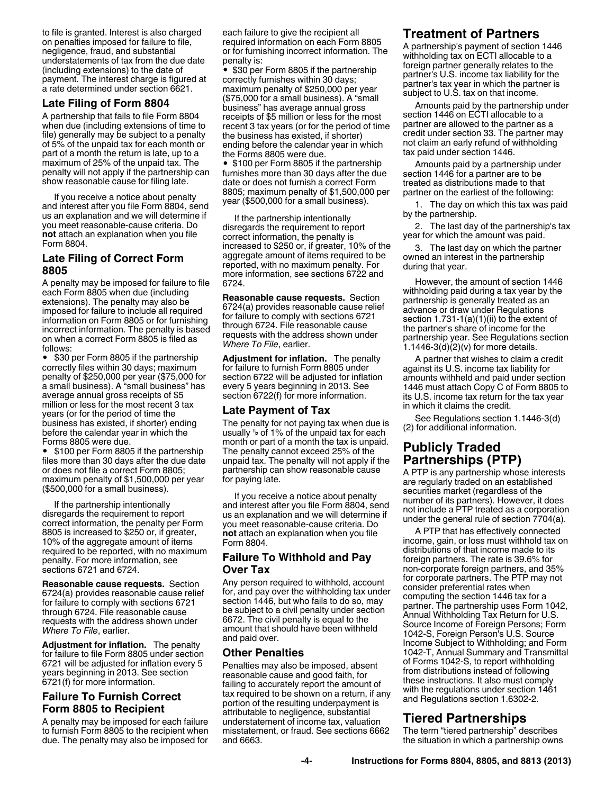<span id="page-3-0"></span>to file is granted. Interest is also charged on penalties imposed for failure to file, negligence, fraud, and substantial understatements of tax from the due date (including extensions) to the date of payment. The interest charge is figured at a rate determined under section 6621.

### **Late Filing of Form 8804**

A partnership that fails to file Form 8804 when due (including extensions of time to file) generally may be subject to a penalty of 5% of the unpaid tax for each month or part of a month the return is late, up to a maximum of 25% of the unpaid tax. The penalty will not apply if the partnership can show reasonable cause for filing late.

If you receive a notice about penalty and interest after you file Form 8804, send us an explanation and we will determine if you meet reasonable-cause criteria. Do **not** attach an explanation when you file Form 8804.

### **Late Filing of Correct Form 8805**

A penalty may be imposed for failure to file each Form 8805 when due (including extensions). The penalty may also be imposed for failure to include all required information on Form 8805 or for furnishing incorrect information. The penalty is based on when a correct Form 8805 is filed as follows:

\$30 per Form 8805 if the partnership correctly files within 30 days; maximum penalty of \$250,000 per year (\$75,000 for a small business). A "small business" has average annual gross receipts of \$5 million or less for the most recent 3 tax years (or for the period of time the business has existed, if shorter) ending before the calendar year in which the Forms 8805 were due.

• \$100 per Form 8805 if the partnership files more than 30 days after the due date or does not file a correct Form 8805; maximum penalty of \$1,500,000 per year (\$500,000 for a small business).

If the partnership intentionally disregards the requirement to report correct information, the penalty per Form 8805 is increased to \$250 or, if greater, 10% of the aggregate amount of items required to be reported, with no maximum penalty. For more information, see sections 6721 and 6724.

**Reasonable cause requests.** Section 6724(a) provides reasonable cause relief for failure to comply with sections 6721 through 6724. File reasonable cause requests with the address shown under *Where To File*, earlier.

**Adjustment for inflation.** The penalty for failure to file Form 8805 under section 6721 will be adjusted for inflation every 5 years beginning in 2013. See section 6721(f) for more information.

### **Failure To Furnish Correct Form 8805 to Recipient**

A penalty may be imposed for each failure to furnish Form 8805 to the recipient when due. The penalty may also be imposed for each failure to give the recipient all required information on each Form 8805 or for furnishing incorrect information. The penalty is:

• \$30 per Form 8805 if the partnership correctly furnishes within 30 days; maximum penalty of \$250,000 per year (\$75,000 for a small business). A "small business" has average annual gross receipts of \$5 million or less for the most recent 3 tax years (or for the period of time the business has existed, if shorter) ending before the calendar year in which the Forms 8805 were due.

• \$100 per Form 8805 if the partnership furnishes more than 30 days after the due date or does not furnish a correct Form 8805; maximum penalty of \$1,500,000 per year (\$500,000 for a small business).

If the partnership intentionally disregards the requirement to report correct information, the penalty is increased to \$250 or, if greater, 10% of the aggregate amount of items required to be reported, with no maximum penalty. For more information, see sections 6722 and 6724.

**Reasonable cause requests.** Section 6724(a) provides reasonable cause relief for failure to comply with sections 6721 through 6724. File reasonable cause requests with the address shown under *Where To File*, earlier.

**Adjustment for inflation.** The penalty for failure to furnish Form 8805 under section 6722 will be adjusted for inflation every 5 years beginning in 2013. See section 6722(f) for more information.

#### **Late Payment of Tax**

The penalty for not paying tax when due is usually **<sup>1</sup> <sup>2</sup>** of 1% of the unpaid tax for each month or part of a month the tax is unpaid. The penalty cannot exceed 25% of the unpaid tax. The penalty will not apply if the partnership can show reasonable cause for paying late.

If you receive a notice about penalty and interest after you file Form 8804, send us an explanation and we will determine if you meet reasonable-cause criteria. Do **not** attach an explanation when you file Form 8804.

#### **Failure To Withhold and Pay Over Tax**

Any person required to withhold, account for, and pay over the withholding tax under section 1446, but who fails to do so, may be subject to a civil penalty under section 6672. The civil penalty is equal to the amount that should have been withheld and paid over.

### **Other Penalties**

Penalties may also be imposed, absent reasonable cause and good faith, for failing to accurately report the amount of tax required to be shown on a return, if any portion of the resulting underpayment is attributable to negligence, substantial understatement of income tax, valuation misstatement, or fraud. See sections 6662 and 6663.

# **Treatment of Partners**

A partnership's payment of section 1446 withholding tax on ECTI allocable to a foreign partner generally relates to the partner's U.S. income tax liability for the partner's tax year in which the partner is subject to U.S. tax on that income.

Amounts paid by the partnership under section 1446 on ECTI allocable to a partner are allowed to the partner as a credit under section 33. The partner may not claim an early refund of withholding tax paid under section 1446.

Amounts paid by a partnership under section 1446 for a partner are to be treated as distributions made to that partner on the earliest of the following:

1. The day on which this tax was paid by the partnership.

2. The last day of the partnership's tax year for which the amount was paid.

The last day on which the partner owned an interest in the partnership during that year.

However, the amount of section 1446 withholding paid during a tax year by the partnership is generally treated as an advance or draw under Regulations section 1.731-1(a)(1)(ii) to the extent of the partner's share of income for the partnership year. See Regulations section 1.1446-3(d)(2)(v) for more details.

A partner that wishes to claim a credit against its U.S. income tax liability for amounts withheld and paid under section 1446 must attach Copy C of Form 8805 to its U.S. income tax return for the tax year in which it claims the credit.

See Regulations section 1.1446-3(d) (2) for additional information.

# **Publicly Traded Partnerships (PTP)**

A PTP is any partnership whose interests are regularly traded on an established securities market (regardless of the number of its partners). However, it does not include a PTP treated as a corporation under the general rule of section 7704(a).

A PTP that has effectively connected income, gain, or loss must withhold tax on distributions of that income made to its foreign partners. The rate is 39.6% for non-corporate foreign partners, and 35% for corporate partners. The PTP may not consider preferential rates when computing the section 1446 tax for a partner. The partnership uses Form 1042, Annual Withholding Tax Return for U.S. Source Income of Foreign Persons; Form 1042-S, Foreign Person's U.S. Source Income Subject to Withholding; and Form 1042-T, Annual Summary and Transmittal of Forms 1042-S, to report withholding from distributions instead of following these instructions. It also must comply with the regulations under section 1461 and Regulations section 1.6302-2.

# **Tiered Partnerships**

The term "tiered partnership" describes the situation in which a partnership owns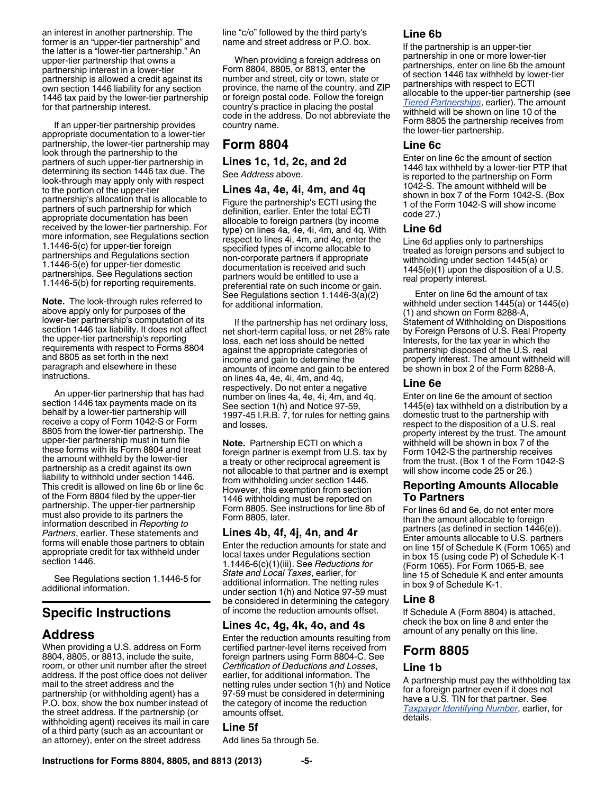an interest in another partnership. The former is an "upper-tier partnership" and the latter is a "lower-tier partnership." An upper-tier partnership that owns a partnership interest in a lower-tier partnership is allowed a credit against its own section 1446 liability for any section 1446 tax paid by the lower-tier partnership for that partnership interest.

If an upper-tier partnership provides appropriate documentation to a lower-tier partnership, the lower-tier partnership may look through the partnership to the partners of such upper-tier partnership in determining its section 1446 tax due. The look-through may apply only with respect to the portion of the upper-tier partnership's allocation that is allocable to partners of such partnership for which appropriate documentation has been received by the lower-tier partnership. For more information, see Regulations section 1.1446-5(c) for upper-tier foreign partnerships and Regulations section 1.1446-5(e) for upper-tier domestic partnerships. See Regulations section 1.1446-5(b) for reporting requirements.

**Note.** The look-through rules referred to above apply only for purposes of the lower-tier partnership's computation of its section 1446 tax liability. It does not affect the upper-tier partnership's reporting requirements with respect to Forms 8804 and 8805 as set forth in the next paragraph and elsewhere in these instructions.

An upper-tier partnership that has had section 1446 tax payments made on its behalf by a lower-tier partnership will receive a copy of Form 1042-S or Form 8805 from the lower-tier partnership. The upper-tier partnership must in turn file these forms with its Form 8804 and treat the amount withheld by the lower-tier partnership as a credit against its own liability to withhold under section 1446. This credit is allowed on line 6b or line 6c of the Form 8804 filed by the upper-tier partnership. The upper-tier partnership must also provide to its partners the information described in *Reporting to Partners*, earlier. These statements and forms will enable those partners to obtain appropriate credit for tax withheld under section 1446.

See Regulations section 1.1446-5 for additional information.

# **Specific Instructions**

# **Address**

When providing a U.S. address on Form 8804, 8805, or 8813, include the suite, room, or other unit number after the street address. If the post office does not deliver mail to the street address and the partnership (or withholding agent) has a P.O. box, show the box number instead of the street address. If the partnership (or withholding agent) receives its mail in care of a third party (such as an accountant or an attorney), enter on the street address

line "c/o" followed by the third party's name and street address or P.O. box.

When providing a foreign address on Form 8804, 8805, or 8813, enter the number and street, city or town, state or province, the name of the country, and ZIP or foreign postal code. Follow the foreign country's practice in placing the postal code in the address. Do not abbreviate the country name.

### **Form 8804**

**Lines 1c, 1d, 2c, and 2d**

See *Address* above.

#### **Lines 4a, 4e, 4i, 4m, and 4q**

Figure the partnership's ECTI using the definition, earlier. Enter the total ECTI allocable to foreign partners (by income type) on lines 4a, 4e, 4i, 4m, and 4q. With respect to lines 4i, 4m, and 4q, enter the specified types of income allocable to non-corporate partners if appropriate documentation is received and such partners would be entitled to use a preferential rate on such income or gain. See Regulations section 1.1446-3(a)(2) for additional information.

If the partnership has net ordinary loss, net short-term capital loss, or net 28% rate loss, each net loss should be netted against the appropriate categories of income and gain to determine the amounts of income and gain to be entered on lines 4a, 4e, 4i, 4m, and 4q, respectively. Do not enter a negative number on lines 4a, 4e, 4i, 4m, and 4q. See section 1(h) and Notice 97-59, 1997-45 I.R.B. 7, for rules for netting gains and losses.

**Note.** Partnership ECTI on which a foreign partner is exempt from U.S. tax by a treaty or other reciprocal agreement is not allocable to that partner and is exempt from withholding under section 1446. However, this exemption from section 1446 withholding must be reported on Form 8805. See instructions for line 8b of Form 8805, later.

### **Lines 4b, 4f, 4j, 4n, and 4r**

Enter the reduction amounts for state and local taxes under Regulations section 1.1446-6(c)(1)(iii). See *Reductions for State and Local Taxes*, earlier, for additional information. The netting rules under section 1(h) and Notice 97-59 must be considered in determining the category of income the reduction amounts offset.

#### **Lines 4c, 4g, 4k, 4o, and 4s**

Enter the reduction amounts resulting from certified partner-level items received from foreign partners using Form 8804-C. See *Certification of Deductions and Losses*, earlier, for additional information. The netting rules under section 1(h) and Notice 97-59 must be considered in determining the category of income the reduction amounts offset.

#### **Line 5f**

Add lines 5a through 5e.

### **Line 6b**

If the partnership is an upper-tier partnership in one or more lower-tier partnerships, enter on line 6b the amount of section 1446 tax withheld by lower-tier partnerships with respect to ECTI allocable to the upper-tier partnership (see *[Tiered Partnerships](#page-3-0)*, earlier). The amount withheld will be shown on line 10 of the Form 8805 the partnership receives from the lower-tier partnership.

#### **Line 6c**

Enter on line 6c the amount of section 1446 tax withheld by a lower-tier PTP that is reported to the partnership on Form 1042-S. The amount withheld will be shown in box 7 of the Form 1042-S. (Box 1 of the Form 1042-S will show income code 27.)

#### **Line 6d**

Line 6d applies only to partnerships treated as foreign persons and subject to withholding under section 1445(a) or 1445(e)(1) upon the disposition of a U.S. real property interest.

Enter on line 6d the amount of tax withheld under section 1445(a) or 1445(e) (1) and shown on Form 8288-A, Statement of Withholding on Dispositions by Foreign Persons of U.S. Real Property Interests, for the tax year in which the partnership disposed of the U.S. real property interest. The amount withheld will be shown in box 2 of the Form 8288-A.

#### **Line 6e**

Enter on line 6e the amount of section 1445(e) tax withheld on a distribution by a domestic trust to the partnership with respect to the disposition of a U.S. real property interest by the trust. The amount withheld will be shown in box 7 of the Form 1042-S the partnership receives from the trust. (Box 1 of the Form 1042-S will show income code 25 or 26.)

### **Reporting Amounts Allocable To Partners**

For lines 6d and 6e, do not enter more than the amount allocable to foreign partners (as defined in section 1446(e)). Enter amounts allocable to U.S. partners on line 15f of Schedule K (Form 1065) and in box 15 (using code P) of Schedule K-1 (Form 1065). For Form 1065-B, see line 15 of Schedule K and enter amounts in box 9 of Schedule K-1.

### **Line 8**

If Schedule A (Form 8804) is attached, check the box on line 8 and enter the amount of any penalty on this line.

# **Form 8805**

# **Line 1b**

A partnership must pay the withholding tax for a foreign partner even if it does not have a U.S. TIN for that partner. See *[Taxpayer Identifying Number](#page-0-0)*, earlier, for details.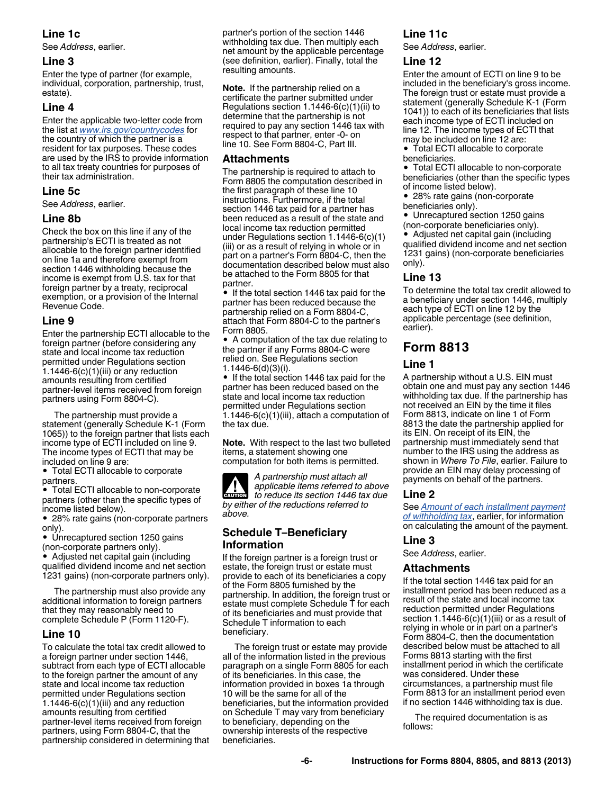### **Line 1c**

See *Address*, earlier.

#### **Line 3**

Enter the type of partner (for example, individual, corporation, partnership, trust, estate).

### **Line 4**

Enter the applicable two-letter code from the list at *[www.irs.gov/countrycodes](http://www.irs.gov/countrycodes)* for the country of which the partner is a resident for tax purposes. These codes are used by the IRS to provide information to all tax treaty countries for purposes of their tax administration.

#### **Line 5c**

See *Address*, earlier.

#### **Line 8b**

Check the box on this line if any of the partnership's ECTI is treated as not allocable to the foreign partner identified on line 1a and therefore exempt from section 1446 withholding because the income is exempt from U.S. tax for that foreign partner by a treaty, reciprocal exemption, or a provision of the Internal Revenue Code.

#### **Line 9**

Enter the partnership ECTI allocable to the foreign partner (before considering any state and local income tax reduction permitted under Regulations section 1.1446-6 $(c)(1)(iii)$  or any reduction amounts resulting from certified partner-level items received from foreign partners using Form 8804-C).

The partnership must provide a statement (generally Schedule K-1 (Form 1065)) to the foreign partner that lists each income type of ECTI included on line 9. The income types of ECTI that may be included on line 9 are:

Total ECTI allocable to corporate partners.

Total ECTI allocable to non-corporate partners (other than the specific types of income listed below).

28% rate gains (non-corporate partners only).

• Unrecaptured section 1250 gains (non-corporate partners only).

Adjusted net capital gain (including qualified dividend income and net section 1231 gains) (non-corporate partners only).

The partnership must also provide any additional information to foreign partners that they may reasonably need to complete Schedule P (Form 1120-F).

### **Line 10**

To calculate the total tax credit allowed to a foreign partner under section 1446, subtract from each type of ECTI allocable to the foreign partner the amount of any state and local income tax reduction permitted under Regulations section 1.1446-6 $(c)(1)(iii)$  and any reduction amounts resulting from certified partner-level items received from foreign partners, using Form 8804-C, that the partnership considered in determining that partner's portion of the section 1446 withholding tax due. Then multiply each net amount by the applicable percentage (see definition, earlier). Finally, total the resulting amounts.

**Note.** If the partnership relied on a certificate the partner submitted under Regulations section 1.1446-6(c)(1)(ii) to determine that the partnership is not required to pay any section 1446 tax with respect to that partner, enter -0- on line 10. See Form 8804-C, Part III.

### **Attachments**

The partnership is required to attach to Form 8805 the computation described in the first paragraph of these line 10 instructions. Furthermore, if the total section 1446 tax paid for a partner has been reduced as a result of the state and local income tax reduction permitted under Regulations section 1.1446-6(c)(1) (iii) or as a result of relying in whole or in part on a partner's Form 8804-C, then the documentation described below must also be attached to the Form 8805 for that partner.

If the total section 1446 tax paid for the partner has been reduced because the partnership relied on a Form 8804-C. attach that Form 8804-C to the partner's Form 8805.

A computation of the tax due relating to the partner if any Forms 8804-C were relied on. See Regulations section 1.1446-6(d)(3)(i).

• If the total section 1446 tax paid for the partner has been reduced based on the state and local income tax reduction permitted under Regulations section 1.1446-6(c)(1)(iii), attach a computation of the tax due.

**Note.** With respect to the last two bulleted items, a statement showing one computation for both items is permitted.

*A partnership must attach all applicable items referred to above to reduce its section 1446 tax due by either of the reductions referred to above.* **AUTION** 

### **Schedule T–Beneficiary Information**

If the foreign partner is a foreign trust or estate, the foreign trust or estate must provide to each of its beneficiaries a copy of the Form 8805 furnished by the partnership. In addition, the foreign trust or estate must complete Schedule T for each of its beneficiaries and must provide that Schedule T information to each beneficiary.

The foreign trust or estate may provide all of the information listed in the previous paragraph on a single Form 8805 for each of its beneficiaries. In this case, the information provided in boxes 1a through 10 will be the same for all of the beneficiaries, but the information provided on Schedule T may vary from beneficiary to beneficiary, depending on the ownership interests of the respective beneficiaries.

### **Line 11c**

See *Address*, earlier.

#### **Line 12**

Enter the amount of ECTI on line 9 to be included in the beneficiary's gross income. The foreign trust or estate must provide a statement (generally Schedule K-1 (Form 1041)) to each of its beneficiaries that lists each income type of ECTI included on line 12. The income types of ECTI that may be included on line 12 are:

Total ECTI allocable to corporate beneficiaries.

Total ECTI allocable to non-corporate beneficiaries (other than the specific types of income listed below).

28% rate gains (non-corporate

beneficiaries only).

Unrecaptured section 1250 gains (non-corporate beneficiaries only).

• Adjusted net capital gain (including qualified dividend income and net section 1231 gains) (non-corporate beneficiaries only).

### **Line 13**

To determine the total tax credit allowed to a beneficiary under section 1446, multiply each type of ECTI on line 12 by the applicable percentage (see definition, earlier).

# **Form 8813**

### **Line 1**

A partnership without a U.S. EIN must obtain one and must pay any section 1446 withholding tax due. If the partnership has not received an EIN by the time it files Form 8813, indicate on line 1 of Form 8813 the date the partnership applied for its EIN. On receipt of its EIN, the partnership must immediately send that number to the IRS using the address as shown in *Where To File*, earlier. Failure to provide an EIN may delay processing of payments on behalf of the partners.

#### **Line 2**

See *[Amount of each installment payment](#page-2-0) [of withholding tax](#page-2-0)*, earlier, for information on calculating the amount of the payment.

### **Line 3**

See *Address*, earlier.

#### **Attachments**

If the total section 1446 tax paid for an installment period has been reduced as a result of the state and local income tax reduction permitted under Regulations section  $1.1446-6(c)(1)(iii)$  or as a result of relying in whole or in part on a partner's Form 8804-C, then the documentation described below must be attached to all Forms 8813 starting with the first installment period in which the certificate was considered. Under these circumstances, a partnership must file Form 8813 for an installment period even if no section 1446 withholding tax is due.

The required documentation is as follows: